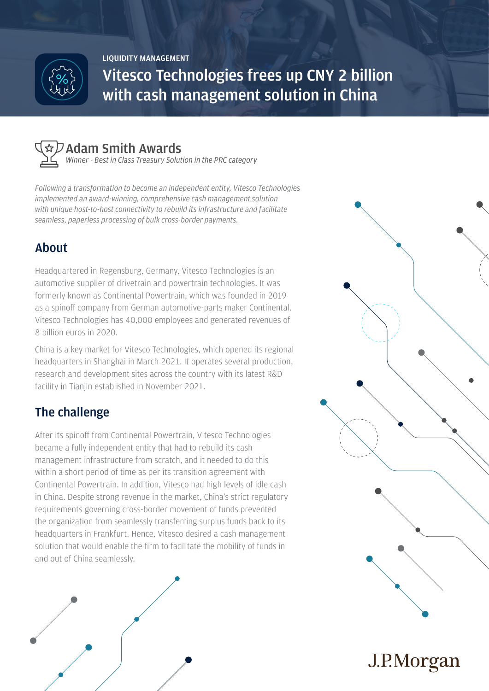

**LIQUIDITY MANAGEMENT**

**Vitesco Technologies frees up CNY 2 billion with cash management solution in China**



### **Adam Smith Awards**

*Winner - Best in Class Treasury Solution in the PRC category*

*Following a transformation to become an independent entity, Vitesco Technologies implemented an award-winning, comprehensive cash management solution with unique host-to-host connectivity to rebuild its infrastructure and facilitate seamless, paperless processing of bulk cross-border payments.*

# **About**

Headquartered in Regensburg, Germany, Vitesco Technologies is an automotive supplier of drivetrain and powertrain technologies. It was formerly known as Continental Powertrain, which was founded in 2019 as a spinoff company from German automotive-parts maker Continental. Vitesco Technologies has 40,000 employees and generated revenues of 8 billion euros in 2020.

China is a key market for Vitesco Technologies, which opened its regional headquarters in Shanghai in March 2021. It operates several production, research and development sites across the country with its latest R&D facility in Tianjin established in November 2021.

## **The challenge**

After its spinoff from Continental Powertrain, Vitesco Technologies became a fully independent entity that had to rebuild its cash management infrastructure from scratch, and it needed to do this within a short period of time as per its transition agreement with Continental Powertrain. In addition, Vitesco had high levels of idle cash in China. Despite strong revenue in the market, China's strict regulatory requirements governing cross-border movement of funds prevented the organization from seamlessly transferring surplus funds back to its headquarters in Frankfurt. Hence, Vitesco desired a cash management solution that would enable the firm to facilitate the mobility of funds in and out of China seamlessly.





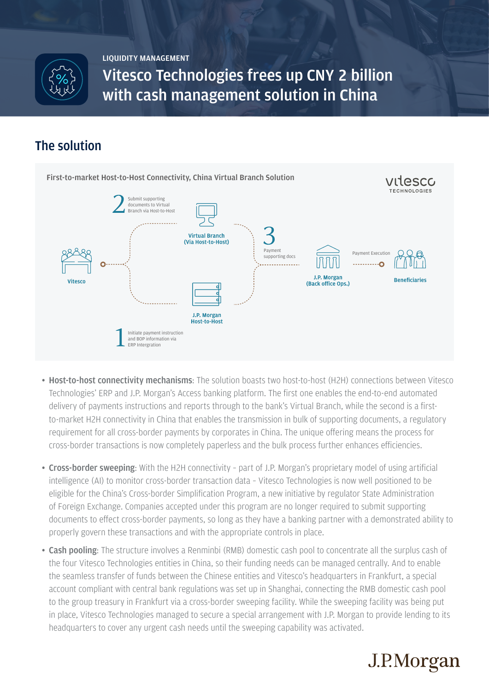

**LIQUIDITY MANAGEMENT**

**Vitesco Technologies frees up CNY 2 billion with cash management solution in China**

#### **The solution**



- Host-to-host connectivity mechanisms: The solution boasts two host-to-host (H2H) connections between Vitesco Technologies' ERP and J.P. Morgan's Access banking platform. The first one enables the end-to-end automated delivery of payments instructions and reports through to the bank's Virtual Branch, while the second is a firstto-market H2H connectivity in China that enables the transmission in bulk of supporting documents, a regulatory requirement for all cross-border payments by corporates in China. The unique offering means the process for cross-border transactions is now completely paperless and the bulk process further enhances efficiencies.
- Cross-border sweeping: With the H2H connectivity part of J.P. Morgan's proprietary model of using artificial intelligence (AI) to monitor cross-border transaction data – Vitesco Technologies is now well positioned to be eligible for the China's Cross-border Simplification Program, a new initiative by regulator State Administration of Foreign Exchange. Companies accepted under this program are no longer required to submit supporting documents to effect cross-border payments, so long as they have a banking partner with a demonstrated ability to properly govern these transactions and with the appropriate controls in place.
- Cash pooling: The structure involves a Renminbi (RMB) domestic cash pool to concentrate all the surplus cash of the four Vitesco Technologies entities in China, so their funding needs can be managed centrally. And to enable the seamless transfer of funds between the Chinese entities and Vitesco's headquarters in Frankfurt, a special account compliant with central bank regulations was set up in Shanghai, connecting the RMB domestic cash pool to the group treasury in Frankfurt via a cross-border sweeping facility. While the sweeping facility was being put in place, Vitesco Technologies managed to secure a special arrangement with J.P. Morgan to provide lending to its headquarters to cover any urgent cash needs until the sweeping capability was activated.

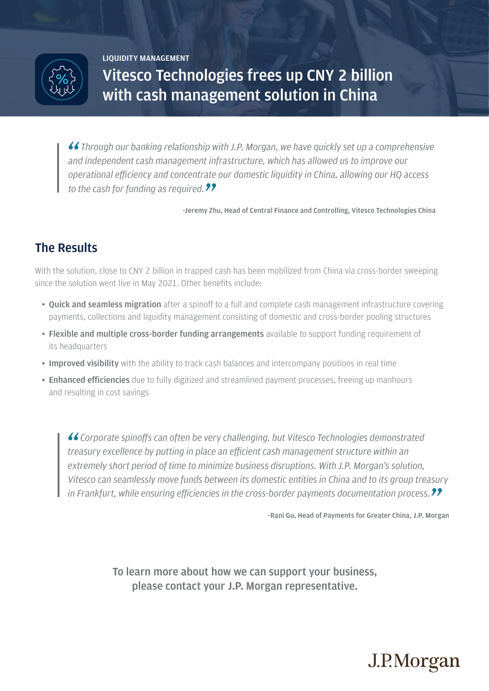

**LIQUIDITY MANAGEMENT**

**Vitesco Technologies frees up CNY 2 billion with cash management solution in China**

*Through our banking relationship with J.P. Morgan, we have quickly set up a comprehensive and independent cash management infrastructure, which has allowed us to improve our operational efficiency and concentrate our domestic liquidity in China, allowing our HQ access to the cash for funding as required.*

**-Jeremy Zhu, Head of Central Finance and Controlling, Vitesco Technologies China**

### **The Results**

With the solution, close to CNY 2 billion in trapped cash has been mobilized from China via cross-border sweeping since the solution went live in May 2021. Other benefits include:

- Quick and seamless migration after a spinoff to a full and complete cash management infrastructure covering payments, collections and liquidity management consisting of domestic and cross-border pooling structures
- Flexible and multiple cross-border funding arrangements available to support funding requirement of its headquarters
- Improved visibility with the ability to track cash balances and intercompany positions in real time
- Enhanced efficiencies due to fully digitized and streamlined payment processes, freeing up manhours and resulting in cost savings

*Corporate spinoffs can often be very challenging, but Vitesco Technologies demonstrated treasury excellence by putting in place an efficient cash management structure within an extremely short period of time to minimize business disruptions. With J.P. Morgan's solution, Vitesco can seamlessly move funds between its domestic entities in China and to its group treasury in Frankfurt, while ensuring efficiencies in the cross-border payments documentation process.*

**-Rani Gu, Head of Payments for Greater China, J.P. Morgan**

J.P.Morgan

To learn more about how we can support your business, please contact your J.P. Morgan representative.